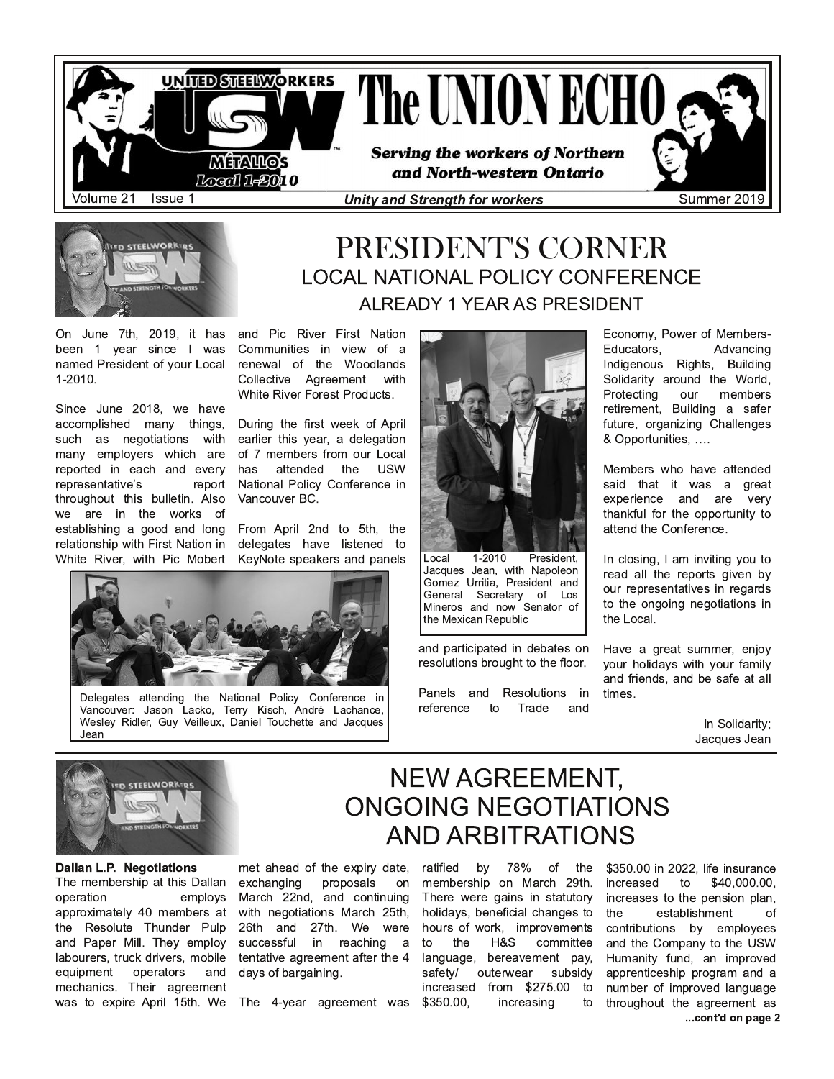



# PRESIDENT'S CORNER **LOCAL NATIONAL POLICY CONFERENCE ALREADY 1 YEAR AS PRESIDENT**

On June 7th, 2019, it has been 1 year since I was named President of your Local 1-2010.

Since June 2018, we have accomplished many things, such as negotiations with many employers which are reported in each and every representative's report throughout this bulletin. Also we are in the works of establishing a good and long relationship with First Nation in White River, with Pic Mobert

and Pic River First Nation Communities in view of a renewal of the Woodlands Collective Agreement with White River Forest Products.

During the first week of April earlier this year, a delegation of 7 members from our Local has attended the **USW** National Policy Conference in Vancouver BC.

From April 2nd to 5th, the delegates have listened to KeyNote speakers and panels



Delegates attending the National Policy Conference in Vancouver: Jason Lacko, Terry Kisch, André Lachance, Wesley Ridler, Guy Veilleux, Daniel Touchette and Jacques Jean



Local 1-2010 President. Jacques Jean, with Napoleon Gomez Urritia, President and General Secretary of Los Mineros and now Senator of the Mexican Republic

and participated in debates on resolutions brought to the floor.

Panels and Resolutions in reference  $t_{\Omega}$ Trade and

Economy, Power of Members-Advancing Educators. Indigenous Rights, Building Solidarity around the World, Protecting our members retirement, Building a safer future, organizing Challenges & Opportunities, ....

Members who have attended said that it was a great experience and are very thankful for the opportunity to attend the Conference.

In closing, I am inviting you to read all the reports given by our representatives in regards to the ongoing negotiations in the Local.

Have a great summer, enjoy your holidays with your family and friends, and be safe at all times.

> In Solidarity; Jacques Jean



Dallan L.P. Negotiations The membership at this Dallan operation employs approximately 40 members at the Resolute Thunder Pulp and Paper Mill. They employ labourers, truck drivers, mobile operators equipment and mechanics. Their agreement was to expire April 15th. We

met ahead of the expiry date, exchanging proposals on March 22nd, and continuing with negotiations March 25th, 26th and 27th. We were successful in reaching a tentative agreement after the 4 days of bargaining.

The 4-year agreement was

**NEW AGREEMENT, ONGOING NEGOTIATIONS AND ARBITRATIONS** ratified by 78% of the

membership on March 29th. There were gains in statutory holidays, beneficial changes to hours of work, improvements H&S to the committee language, bereavement pay, safety/ outerwear subsidy increased from \$275.00 to \$350.00, increasing to

\$350.00 in 2022. life insurance increased to \$40,000.00, increases to the pension plan, the establishment of contributions by employees and the Company to the USW Humanity fund, an improved apprenticeship program and a number of improved language throughout the agreement as ...cont'd on page 2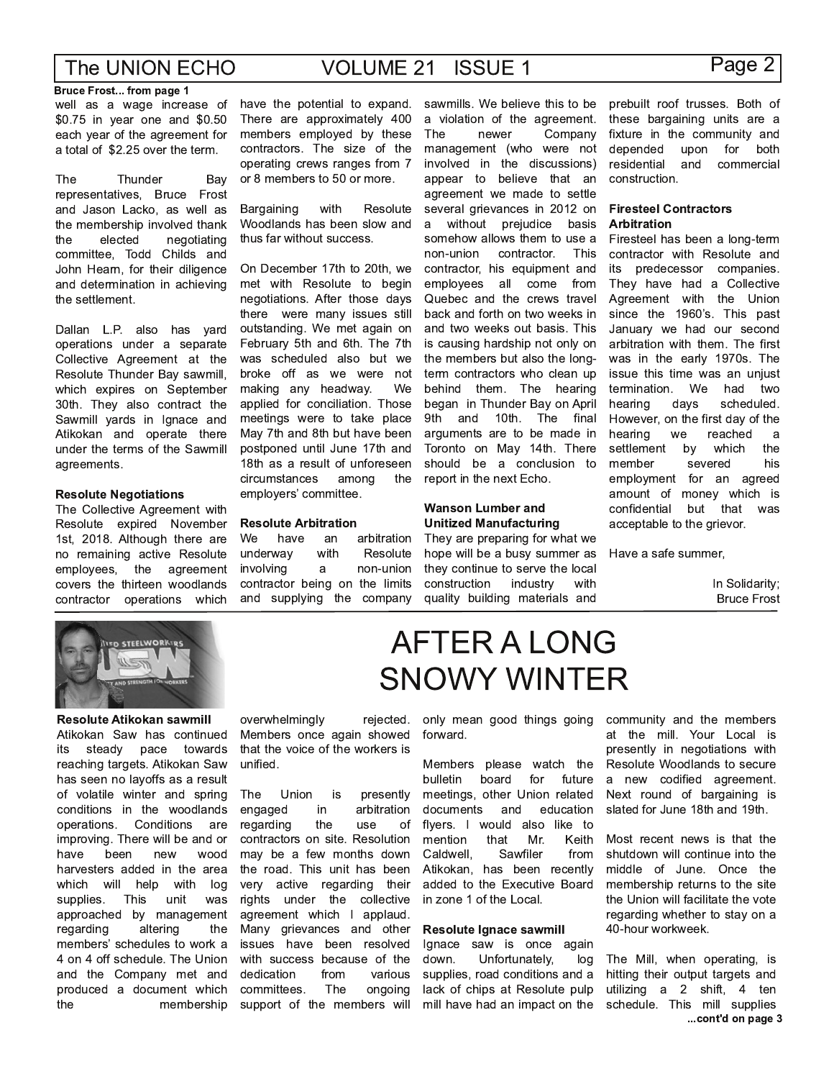**VOLUME 21 ISSUE 1** 

#### **Bruce Frost... from page 1**

well as a wage increase of \$0.75 in year one and \$0.50 each year of the agreement for a total of \$2.25 over the term.

The Thunder Bay representatives, Bruce Frost and Jason Lacko, as well as the membership involved thank the elected negotiating committee, Todd Childs and John Hearn, for their diligence and determination in achieving the settlement.

Dallan L.P. also has yard operations under a separate Collective Agreement at the Resolute Thunder Bay sawmill. which expires on September 30th. They also contract the Sawmill yards in Ignace and Atikokan and operate there under the terms of the Sawmill agreements.

#### **Resolute Negotiations**

The Collective Agreement with Resolute expired November 1st, 2018. Although there are no remaining active Resolute employees, the agreement covers the thirteen woodlands contractor operations which

have the potential to expand. There are approximately 400 members employed by these contractors. The size of the operating crews ranges from 7 or 8 members to 50 or more.

Bargaining with Resolute Woodlands has been slow and thus far without success.

On December 17th to 20th, we met with Resolute to begin negotiations. After those days there were many issues still outstanding. We met again on February 5th and 6th. The 7th was scheduled also but we broke off as we were not making any headway. We applied for conciliation. Those meetings were to take place May 7th and 8th but have been postponed until June 17th and 18th as a result of unforeseen circumstances among the employers' committee.

#### **Resolute Arbitration**

We have an arbitration underway with Resolute involving  $\mathsf{a}$ non-union contractor being on the limits and supplying the company sawmills. We believe this to be a violation of the agreement. The newer Company management (who were not involved in the discussions) appear to believe that an agreement we made to settle several grievances in 2012 on  $a$ without prejudice basis somehow allows them to use a non-union contractor. This contractor, his equipment and employees all come from Quebec and the crews travel back and forth on two weeks in and two weeks out basis. This is causing hardship not only on the members but also the longterm contractors who clean up behind them. The hearing began in Thunder Bay on April 9th and 10th. The final arguments are to be made in Toronto on May 14th. There should be a conclusion to report in the next Echo.

#### **Wanson Lumber and Unitized Manufacturing**

They are preparing for what we hope will be a busy summer as they continue to serve the local construction industry with quality building materials and

**AFTER A LONG** 

**SNOWY WINTER** 

#### prebuilt roof trusses. Both of these bargaining units are a fixture in the community and upon for both depended and commercial residential construction.

#### **Firesteel Contractors Arbitration**

Firesteel has been a long-term contractor with Resolute and its predecessor companies. They have had a Collective Agreement with the Union since the 1960's. This past January we had our second arbitration with them. The first was in the early 1970s. The issue this time was an unjust We had termination. two hearing scheduled. days However, on the first day of the hearing reached we a settlement by which the member severed his employment for an agreed amount of money which is confidential but that was acceptable to the grievor.

Have a safe summer,

In Solidarity; **Bruce Frost** 



Resolute Atikokan sawmill Atikokan Saw has continued pace its steady towards reaching targets. Atikokan Saw has seen no layoffs as a result of volatile winter and spring conditions in the woodlands operations. Conditions are improving. There will be and or been have new wood harvesters added in the area which will help with log supplies. This unit was approached by management regarding altering the members' schedules to work a 4 on 4 off schedule. The Union and the Company met and produced a document which the membership

#### overwhelmingly rejected. Members once again showed that the voice of the workers is unified.

The Union is presently engaged in arbitration regarding the use  $\Omega$ contractors on site. Resolution may be a few months down the road. This unit has been very active regarding their rights under the collective agreement which I applaud. Many grievances and other issues have been resolved with success because of the dedication from various committees. The ongoing support of the members will

only mean good things going forward.

Members please watch the bulletin board for future meetings, other Union related documents and education flyers. I would also like to Keith mention that Mr. Sawfiler Caldwell, from Atikokan, has been recently added to the Executive Board in zone 1 of the Local.

#### Resolute Ignace sawmill

Ignace saw is once again down. Unfortunately, log supplies, road conditions and a lack of chips at Resolute pulp mill have had an impact on the community and the members at the mill. Your Local is presently in negotiations with Resolute Woodlands to secure a new codified agreement. Next round of bargaining is slated for June 18th and 19th.

Most recent news is that the shutdown will continue into the middle of June. Once the membership returns to the site the Union will facilitate the vote regarding whether to stay on a 40-hour workweek.

The Mill, when operating, is hitting their output targets and utilizing a 2 shift, 4 ten schedule. This mill supplies ...cont'd on page 3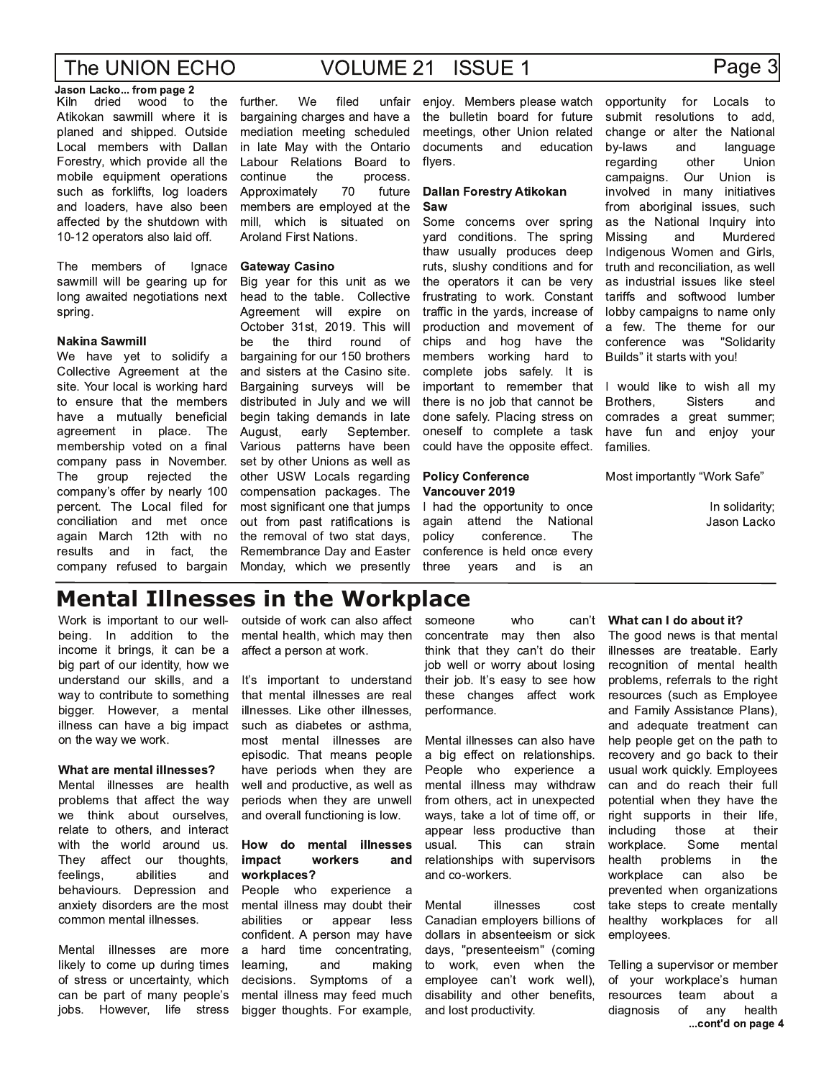## Page 3

Jason Lacko... from page 2 dried wood the Kiln  $t_0$ Atikokan sawmill where it is planed and shipped. Outside Local members with Dallan Forestry, which provide all the mobile equipment operations such as forklifts, log loaders and loaders, have also been affected by the shutdown with 10-12 operators also laid off.

The members of Ignace sawmill will be gearing up for long awaited negotiations next spring.

#### **Nakina Sawmill**

We have yet to solidify a Collective Agreement at the site. Your local is working hard to ensure that the members have a mutually beneficial agreement in place. The membership voted on a final company pass in November. group The rejected the company's offer by nearly 100 percent. The Local filed for conciliation and met once again March 12th with no results and in fact, the company refused to bargain

further. We filed unfair bargaining charges and have a mediation meeting scheduled in late May with the Ontario Labour Relations Board to continue the process. Approximately 70 future members are employed at the mill, which is situated on Aroland First Nations.

#### **Gateway Casino**

Big year for this unit as we head to the table. Collective Agreement will expire on October 31st, 2019. This will the third round he ∩f bargaining for our 150 brothers and sisters at the Casino site. Bargaining surveys will be distributed in July and we will begin taking demands in late August. early September. Various patterns have been set by other Unions as well as other USW Locals regarding compensation packages. The most significant one that jumps out from past ratifications is the removal of two stat days, Remembrance Day and Easter Monday, which we presently enjoy. Members please watch the bulletin board for future meetings, other Union related documents and education flyers.

#### **Dallan Forestry Atikokan** Saw

Some concerns over spring yard conditions. The spring thaw usually produces deep ruts, slushy conditions and for the operators it can be very frustrating to work. Constant traffic in the yards, increase of production and movement of chips and hog have the members working hard to complete jobs safely. It is important to remember that there is no job that cannot be done safely. Placing stress on oneself to complete a task could have the opposite effect.

#### **Policy Conference** Vancouver 2019

I had the opportunity to once again attend the National policy conference. The conference is held once every three years and is an

for Locals to opportunity submit resolutions to add, change or alter the National by-laws and language regarding other Union campaigns. Our Union is involved in many initiatives from aboriginal issues, such as the National Inquiry into Missina and Murdered Indigenous Women and Girls. truth and reconciliation, as well as industrial issues like steel tariffs and softwood lumber lobby campaigns to name only a few. The theme for our conference was "Solidaritv Builds" it starts with you!

I would like to wish all my Brothers, **Sisters** and comrades a great summer; have fun and eniov your families.

Most importantly "Work Safe"

In solidarity; Jason Lacko

## **Mental Illnesses in the Workplace**

Work is important to our wellbeing. In addition to the income it brings, it can be a big part of our identity, how we understand our skills, and a way to contribute to something bigger. However, a mental illness can have a big impact on the way we work.

#### What are mental illnesses?

Mental illnesses are health problems that affect the way we think about ourselves, relate to others, and interact with the world around us. They affect our thoughts, abilities feelings, and behaviours. Depression and anxiety disorders are the most common mental illnesses.

Mental illnesses are more likely to come up during times of stress or uncertainty, which can be part of many people's jobs. However, life stress

outside of work can also affect mental health, which may then affect a person at work.

It's important to understand that mental illnesses are real illnesses. Like other illnesses, such as diabetes or asthma, most mental illnesses are episodic. That means people have periods when they are well and productive, as well as periods when they are unwell and overall functioning is low.

#### How do mental illnesses impact workers and workplaces?

People who experience a mental illness may doubt their abilities or appear less confident. A person may have a hard time concentrating, learning, and making decisions. Symptoms of a mental illness may feed much bigger thoughts. For example, someone can't who concentrate may then also think that they can't do their job well or worry about losing their job. It's easy to see how these changes affect work performance.

Mental illnesses can also have a big effect on relationships. People who experience a mental illness may withdraw from others, act in unexpected ways, take a lot of time off, or appear less productive than This usual. can strain relationships with supervisors and co-workers.

illnesses Mental cost Canadian employers billions of dollars in absenteeism or sick days, "presenteeism" (coming to work, even when the employee can't work well), disability and other benefits, and lost productivity.

#### What can I do about it?

The good news is that mental illnesses are treatable. Early recognition of mental health problems, referrals to the right resources (such as Employee and Family Assistance Plans), and adequate treatment can help people get on the path to recovery and go back to their usual work quickly. Employees can and do reach their full potential when they have the right supports in their life, including those at their workplace. Some mental health problems in the workplace can also he prevented when organizations take steps to create mentally healthy workplaces for all employees.

Telling a supervisor or member of your workplace's human resources team about a diagnosis of any health ...cont'd on page 4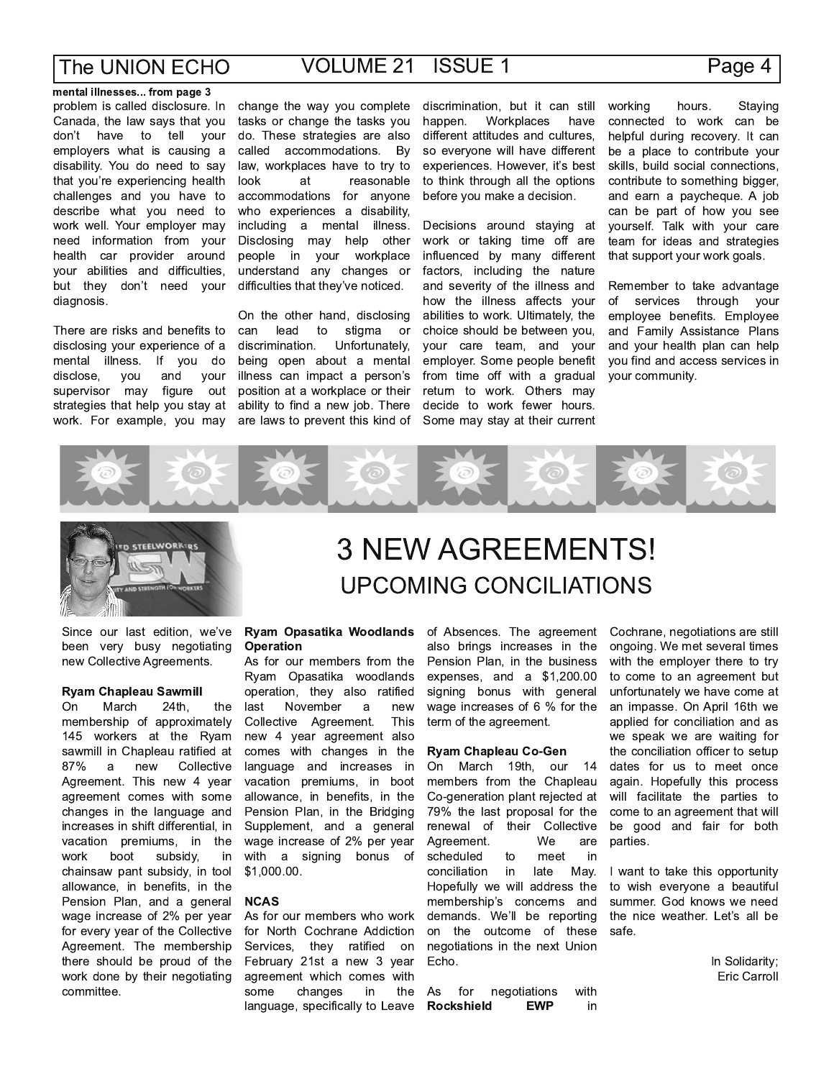### Page 4

mental illnesses... from page 3 problem is called disclosure. In Canada, the law says that you don't have to tell your employers what is causing a disability. You do need to say that you're experiencing health challenges and you have to describe what you need to work well. Your employer may need information from your health car provider around your abilities and difficulties, but they don't need your diagnosis.

There are risks and benefits to disclosing your experience of a mental illness. If you do and disclose, you your figure out supervisor may strategies that help you stay at work. For example, you may

change the way you complete tasks or change the tasks you do. These strategies are also called accommodations. By law, workplaces have to try to look at reasonable accommodations for anyone who experiences a disability, including a mental illness. Disclosing may help other people in your workplace understand any changes or difficulties that they've noticed.

On the other hand, disclosing can lead to stigma or Unfortunately, discrimination. being open about a mental illness can impact a person's position at a workplace or their ability to find a new job. There are laws to prevent this kind of discrimination, but it can still Workplaces have happen. different attitudes and cultures, so everyone will have different experiences. However, it's best to think through all the options before you make a decision.

Decisions around staying at work or taking time off are influenced by many different factors, including the nature and severity of the illness and how the illness affects your abilities to work. Ultimately, the choice should be between you, your care team, and your employer. Some people benefit from time off with a gradual return to work. Others may decide to work fewer hours. Some may stay at their current

working hours. Staying connected to work can be helpful during recovery. It can be a place to contribute your skills, build social connections, contribute to something bigger, and earn a paycheque. A job can be part of how you see yourself. Talk with your care team for ideas and strategies that support your work goals.

Remember to take advantage of services through your employee benefits. Employee and Family Assistance Plans and your health plan can help you find and access services in your community.





Since our last edition, we've been very busy negotiating new Collective Agreements.

#### **Ryam Chapleau Sawmill**

March On 24th. the membership of approximately 145 workers at the Ryam sawmill in Chapleau ratified at Collective 87%  $\mathsf{a}$ new Agreement. This new 4 year agreement comes with some changes in the language and increases in shift differential, in vacation premiums, in the work boot subsidy, in chainsaw pant subsidy, in tool allowance, in benefits, in the Pension Plan, and a general wage increase of 2% per year for every year of the Collective Agreement. The membership there should be proud of the work done by their negotiating committee.

# **3 NEW AGREEMENTS! UPCOMING CONCILIATIONS**

#### Ryam Opasatika Woodlands **Operation**

As for our members from the Ryam Opasatika woodlands operation, they also ratified November last new  $\overline{a}$ Collective Agreement. **This** new 4 year agreement also comes with changes in the language and increases in vacation premiums, in boot allowance, in benefits, in the Pension Plan, in the Bridging Supplement, and a general wage increase of 2% per year with a signing bonus of \$1,000.00.

#### **NCAS**

As for our members who work for North Cochrane Addiction Services, they ratified on February 21st a new 3 year agreement which comes with some changes in the language, specifically to Leave

of Absences. The agreement also brings increases in the Pension Plan, in the business expenses, and a \$1,200.00 signing bonus with general wage increases of 6 % for the term of the agreement.

#### **Ryam Chapleau Co-Gen**

On March 19th, our 14 members from the Chapleau Co-generation plant rejected at 79% the last proposal for the renewal of their Collective Agreement. We are scheduled to meet in conciliation in late May. Hopefully we will address the membership's concerns and demands. We'll be reporting on the outcome of these negotiations in the next Union Echo.

As for negotiations with **Rockshield EWP** in Cochrane, negotiations are still ongoing. We met several times with the emplover there to try to come to an agreement but unfortunately we have come at an impasse. On April 16th we applied for conciliation and as we speak we are waiting for the conciliation officer to setup dates for us to meet once again. Hopefully this process will facilitate the parties to come to an agreement that will be good and fair for both parties.

I want to take this opportunity to wish everyone a beautiful summer. God knows we need the nice weather. Let's all be safe.

> In Solidarity; Eric Carroll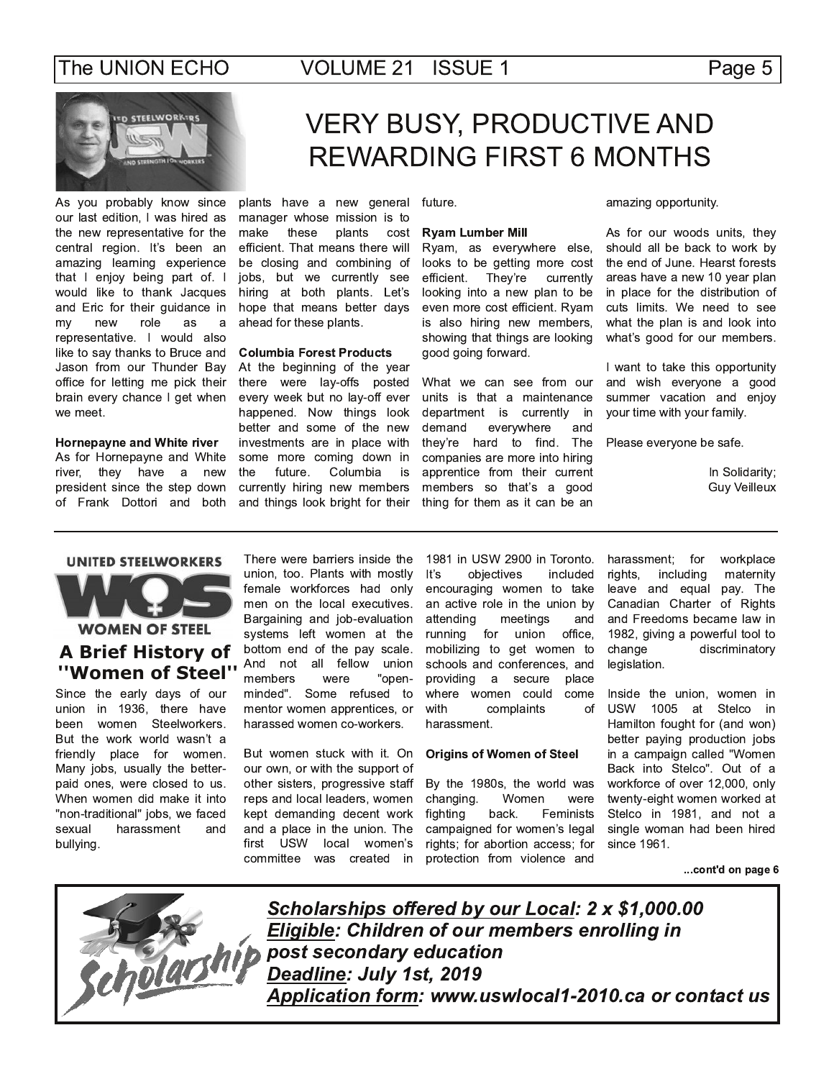

As you probably know since our last edition, I was hired as the new representative for the central region. It's been an amazing learning experience that I enjoy being part of. I would like to thank Jacques and Eric for their guidance in my new role as a representative. I would also like to say thanks to Bruce and Jason from our Thunder Bay office for letting me pick their brain every chance I get when we meet.

Hornepayne and White river As for Hornepayne and White river, they have a new president since the step down of Frank Dottori and both

# **VERY BUSY, PRODUCTIVE AND REWARDING FIRST 6 MONTHS**

plants have a new general manager whose mission is to make these plants cost efficient. That means there will be closing and combining of jobs, but we currently see hiring at both plants. Let's hope that means better days ahead for these plants.

#### **Columbia Forest Products**

At the beginning of the year there were lay-offs posted every week but no lay-off ever happened. Now things look better and some of the new investments are in place with some more coming down in the future. Columbia is currently hiring new members and things look bright for their

future.

#### **Ryam Lumber Mill**

Ryam, as everywhere else, looks to be getting more cost efficient. They're currently looking into a new plan to be even more cost efficient. Ryam is also hiring new members, showing that things are looking good going forward.

What we can see from our units is that a maintenance department is currently in demand everywhere and The they're hard to find. companies are more into hiring apprentice from their current members so that's a good thing for them as it can be an

amazing opportunity.

As for our woods units, they should all be back to work by the end of June. Hearst forests areas have a new 10 year plan in place for the distribution of cuts limits. We need to see what the plan is and look into what's good for our members.

I want to take this opportunity and wish everyone a good summer vacation and enjoy your time with your family.

Please everyone be safe.

In Solidarity; **Guy Veilleux** 

#### **UNITED STEELWORKERS**



## **A Brief History of** "Women of Steel"

Since the early days of our union in 1936, there have been women Steelworkers. But the work world wasn't a friendly place for women. Many jobs, usually the betterpaid ones, were closed to us. When women did make it into "non-traditional" jobs, we faced sexual harassment and bullying.

There were barriers inside the union, too. Plants with mostly female workforces had only men on the local executives. Bargaining and job-evaluation systems left women at the bottom end of the pay scale. And not all fellow union members were "openminded". Some refused to mentor women apprentices, or harassed women co-workers.

But women stuck with it. On our own, or with the support of other sisters, progressive staff reps and local leaders, women kept demanding decent work and a place in the union. The first USW local women's committee was created in

1981 in USW 2900 in Toronto. It's objectives included encouraging women to take an active role in the union by attending meetings and running for union office, mobilizing to get women to schools and conferences, and providing a secure place where women could come with complaints of harassment.

#### **Origins of Women of Steel**

By the 1980s, the world was Women changing. were fighting back. Feminists campaigned for women's legal rights; for abortion access; for protection from violence and

workplace harassment; for rights, including maternity leave and equal pay. The Canadian Charter of Rights and Freedoms became law in 1982, giving a powerful tool to change discriminatory legislation.

Inside the union, women in USW 1005 at Stelco in Hamilton fought for (and won) better paying production jobs in a campaign called "Women Back into Stelco". Out of a workforce of over 12,000, only twenty-eight women worked at Stelco in 1981, and not a single woman had been hired since 1961.

... cont'd on page 6



Scholarships offered by our Local: 2 x \$1,000.00 Eligible: Children of our members enrolling in post secondary education Deadline: July 1st, 2019 Application form: www.uswlocal1-2010.ca or contact us